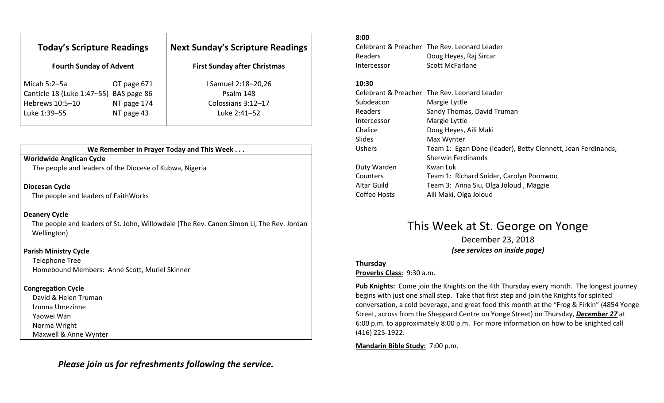| <b>Today's Scripture Readings</b>                         |             | <b>Next Sunday's Scripture Readings</b> |  |
|-----------------------------------------------------------|-------------|-----------------------------------------|--|
| <b>Fourth Sunday of Advent</b>                            |             | <b>First Sunday after Christmas</b>     |  |
| Micah 5:2–5a                                              | OT page 671 | I Samuel 2:18-20,26<br>Psalm 148        |  |
| Canticle 18 (Luke 1:47-55) BAS page 86<br>Hebrews 10:5-10 | NT page 174 | Colossians 3:12-17                      |  |
| Luke 1:39-55                                              | NT page 43  | Luke 2:41-52                            |  |

## We Remember in Prayer Today and This Week . . .

## Worldwide Anglican Cycle

The people and leaders of the Diocese of Kubwa, Nigeria

## Diocesan Cycle

The people and leaders of FaithWorks

## Deanery Cycle

The people and leaders of St. John, Willowdale (The Rev. Canon Simon Li, The Rev. Jordan Wellington)

### Parish Ministry Cycle

Telephone Tree Homebound Members: Anne Scott, Muriel Skinner

## Congregation Cycle

David & Helen Truman Izunna Umezinne Yaowei Wan Norma Wright Maxwell & Anne Wynter

Please join us for refreshments following the service.

#### 8:00

Celebrant & Preacher The Rev. Leonard Leader Readers Doug Heyes, Raj Sircar Intercessor Scott McFarlane

#### 10:30

|              | Celebrant & Preacher The Rev. Leonard Leader                 |
|--------------|--------------------------------------------------------------|
| Subdeacon    | Margie Lyttle                                                |
| Readers      | Sandy Thomas, David Truman                                   |
| Intercessor  | Margie Lyttle                                                |
| Chalice      | Doug Heyes, Aili Maki                                        |
| Slides       | Max Wynter                                                   |
| Ushers       | Team 1: Egan Done (leader), Betty Clennett, Jean Ferdinands, |
|              | <b>Sherwin Ferdinands</b>                                    |
| Duty Warden  | Kwan Luk                                                     |
| Counters     | Team 1: Richard Snider, Carolyn Poonwoo                      |
| Altar Guild  | Team 3: Anna Siu, Olga Joloud, Maggie                        |
| Coffee Hosts | Aili Maki, Olga Joloud                                       |
|              |                                                              |

## This Week at St. George on Yonge

December 23, 2018 (see services on inside page)

### Thursday

Proverbs Class: 9:30 a.m.

Pub Knights: Come join the Knights on the 4th Thursday every month. The longest journey begins with just one small step. Take that first step and join the Knights for spirited conversation, a cold beverage, and great food this month at the "Frog & Firkin" (4854 Yonge Street, across from the Sheppard Centre on Yonge Street) on Thursday, December 27 at 6:00 p.m. to approximately 8:00 p.m. For more information on how to be knighted call (416) 225-1922.

Mandarin Bible Study: 7:00 p.m.